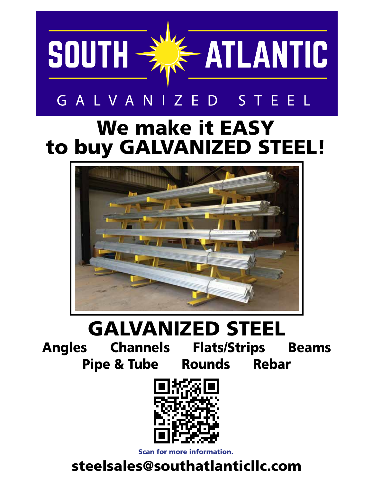

### GALVANIZED STEEL

## We make it EASY to buy GALVANIZED STEEL!



# GALVANIZED STEEL

Angles Channels Flats/Strips Beams Pipe & Tube Rounds Rebar



Scan for more information.

#### steelsales@southatlanticllc.com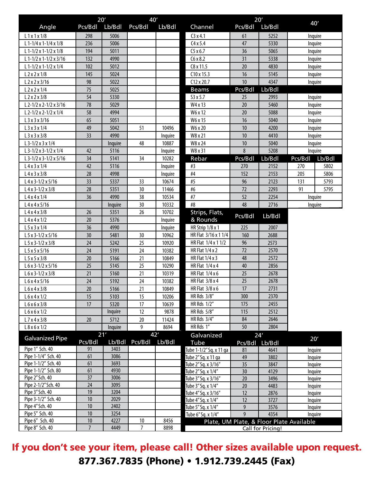|                                        | 20'             |              | 40'            |         | 20'                     |                 |                                          |         |         |
|----------------------------------------|-----------------|--------------|----------------|---------|-------------------------|-----------------|------------------------------------------|---------|---------|
| Angle                                  | Pcs/Bdl         | Lb/Bdl       | Pcs/Bdl        | Lb/Bdl  | Channel                 | Pcs/Bdl         | Lb/Bdl                                   | 40'     |         |
| L1x1x1/8                               | 298             | 5006         |                |         | C3x4.1                  | 61              | 5252                                     | Inquire |         |
| L 1-1/4 x 1-1/4 x 1/8                  | 236             | 5006         |                |         | C4x5.4                  | 47              | 5330                                     | Inquire |         |
| L 1-1/2 x 1-1/2 x 1/8                  | 194             | 5011         |                |         | C5x6.7                  | 36              | 5065                                     | Inquire |         |
| L 1-1/2 x 1-1/2 x 3/16                 | 132             | 4990         |                |         | C6x8.2                  | 31              | 5338                                     | Inquire |         |
| $L$ 1-1/2 x 1-1/2 x 1/4                | 102             | 5012         |                |         | C8 x 11.5               | 20              | 4830                                     | Inquire |         |
| L2x2x1/8                               | 145             | 5024         |                |         | $C10 \times 15.3$       | 16              | 5145                                     | Inquire |         |
| L2x2x3/16                              | 98              | 5022         |                |         | $C12 \times 20.7$       | 10              | 4347                                     | Inquire |         |
| $L$ 2 x 2 x 1/4                        | 75              | 5025         |                |         | <b>Beams</b>            | Pcs/Bdl         | Lb/Bdl                                   |         |         |
| L2x2x3/8                               | 54              | 5330         |                |         | S3 x 5.7                | 25              | 2993                                     |         | Inquire |
| L 2-1/2 x 2-1/2 x 3/16                 | 78              | 5029         |                |         | W4 x 13                 | 20              | 5460                                     |         | Inquire |
| L 2-1/2 x 2-1/2 x 1/4                  | 58              | 4994         |                |         | W6 x 12                 | 20              | 5088                                     | Inquire |         |
| L3x3x3/16                              | 65              | 5051         |                |         | W6 x 15                 | 16              | 5040                                     | Inquire |         |
| L 3 x 3 x 1/4                          | 49              | 5042         | 51             | 10496   | W6 x 20                 | 10              | 4200                                     | Inquire |         |
| L3x3x3/8                               | 33              | 4990         |                | Inquire | W8 x 21                 | 10              | 4410                                     |         | Inquire |
| $L$ 3-1/2 x 3 x 1/4                    |                 | Inquire      | 48             | 10887   | W8 x 24                 | $10\,$          | 5040                                     |         | Inquire |
| L 3-1/2 x 3-1/2 x 1/4                  | 42              | 5116         |                | Inquire | W8 x 31                 | 8               | 5208                                     | Inquire |         |
| L 3-1/2 x 3-1/2 x 5/16                 | 34              | 5141         | 34             | 10282   | Rebar                   | Pcs/Bdl         | Lb/Bdl                                   | Pcs/Bdl | Lb/Bdl  |
| L4x3x1/4                               | 42              | 5116         |                | Inquire | #3                      | 270             | 2152                                     | 270     | 5802    |
| $L$ 4 x 3 x 3/8                        | 28              | 4998         |                | Inquire | #4                      | 152             | 2153                                     | 205     | 5806    |
| $L$ 4 x 3-1/2 x 5/16                   | 33              | 5337         | 33             | 10674   | #5                      | 96              | 2123                                     | 131     | 5793    |
| $L$ 4 x 3-1/2 x 3/8                    | 28              | 5351         | 30             | 11466   | #6                      | 72              | 2293                                     | 91      | 5795    |
| L4x4x1/4                               | 36              | 4990         | 38             | 10534   | #7                      | 52              | 2254                                     | Inquire |         |
| L4x4x5/16                              |                 | Inquire      | 30             | 10332   | #8                      | 48              | 2716                                     | Inquire |         |
| L4x4x3/8                               | 26              | 5351         | 26             | 10702   | Strips, Flats,          |                 |                                          |         |         |
| L4x4x1/2                               | 20              | 5376         |                | Inquire | & Rounds                | Pcs/Bdl         | Lb/Bdl                                   |         |         |
| $L$ 5 x 3 x 1/4                        | 36              | 4990         |                | Inquire | HR Strip 1/8 x 1        | 225             | 2007                                     |         |         |
| $L$ 5 x 3-1/2 x 5/16                   | 30              | 5481         | 30             | 10962   | HR Flat 3/16 x 1 1/4    | 160             | 2688                                     |         |         |
| $L$ 5 x 3-1/2 x 3/8                    | 24              | 5242         | 25             | 10920   | HR Flat 1/4 x 1 1/2     | 96              | 2573                                     |         |         |
| $L$ 5 x 5 x 5/16                       | 24              | 5191         | 24             | 10382   | <b>HR Flat 1/4 x 2</b>  | 72              | 2570                                     |         |         |
| $L$ 5 x 5 x 3/8                        | 20              | 5166         | 21             | 10849   | <b>HR Flat 1/4 x 3</b>  | 48              | 2572                                     |         |         |
| $L 6 x 3 - 1/2 x 5/16$                 | 25              | 5145         | 25             | 10290   | HR Flat 1/4 x 4         | 40              | 2856                                     |         |         |
| $L 6 x 3 - 1/2 x 3/8$                  | 21              | 5160         | 21             | 10319   | HR Flat $1/4x6$         | 25              | 2678                                     |         |         |
| L 6 x 4 x 5/16                         | 24              | 5192         | 24             | 10382   | HR Flat 3/8 x 4         | 25              | 2678                                     |         |         |
| L 6 x 4 x 3/8                          | $\overline{20}$ | 5166         | 21             | 10849   | HR Flat 3/8 x 6         | $\overline{17}$ | 2731                                     |         |         |
| L6x4x1/2                               | 15              | 5103         | 15             | 10206   | HR Rds 3/8"             | 300             | 2370                                     |         |         |
| L6x6x3/8                               | 17              | 5320         | 17             | 10639   | HR Rds 1/2"             | 175             | 2455                                     |         |         |
| L6x6x1/2                               |                 | Inquire      | 12             | 9878    | HR Rds 5/8"             | 115             | 2512                                     |         |         |
| L7x4x3/8                               | 20              | 5712         | 20             | 11424   | HR Rds 3/4"             | 84              | 2646                                     |         |         |
| L8x6x1/2                               |                 | Inquire      | 9              | 8694    | HR Rds 1"               | 50              | 2804                                     |         |         |
| 21'<br><b>Galvanized Pipe</b>          |                 |              | 42'            |         | Galvanized              | 24'             |                                          |         |         |
|                                        | Pcs/Bdl         | Lb/Bdl       | Pcs/Bdl        | Lb/Bdl  | Tube                    | Pcs/Bdl Lb/Bdl  |                                          |         | 20'     |
| Pipe 1" Sch. 40                        | 91              | 3403         |                |         | Tube 1-1/2" Sq. x 11 ga | 81              | 4641                                     | Inquire |         |
| Pipe 1-1/4" Sch. 40                    | 61              | 3086         |                |         | Tube 2"Sq. x 11 ga      | 49              | 3802                                     | Inquire |         |
| Pipe 1-1/2" Sch. 40                    | 61              | 3693         |                |         | Tube 2" Sq. x 3/16"     | 35              | 3847                                     | Inquire |         |
| Pipe 1-1/2" Sch. 80                    | 61              | 4930         |                |         | Tube 2" Sq. x 1/4"      | 30              | 4129                                     | Inquire |         |
| Pipe 2" Sch. 40                        | 37              | 3006         |                |         | Tube 3" Sq. x 3/16"     | $20\,$          | 3496                                     | Inquire |         |
| Pipe 2-1/2" Sch. 40                    | 24              | 3095         |                |         | Tube 3" Sq. x 1/4"      | $20\,$          | 4483                                     |         | Inquire |
| Pipe 3" Sch. 40<br>Pipe 3-1/2" Sch. 40 | 19<br>10        | 3204<br>2029 |                |         | Tube 4" Sq. x 3/16"     | 12              | 2876                                     |         | Inquire |
| Pipe 4"Sch. 40                         | $10$            | 2402         |                |         | Tube 4" Sq. x 1/4"      | 12              | 3727                                     | Inquire |         |
| Pipe 5" Sch. 40                        | $10$            | 3254         |                |         | Tube 5" Sq. x 1/4"      | 9<br>9          | 3576<br>4354                             |         | Inquire |
| Pipe 6" Sch. 40                        | $10\,$          | 4227         | 10             | 8456    | Tube 6" Sq. x 1/4"      |                 | Plate, UM Plate, & Floor Plate Available |         | Inquire |
| Pipe 8" Sch. 40                        | $\overline{7}$  | 4449         | $\overline{7}$ | 8898    |                         |                 | Call for Pricing!                        |         |         |

If you don't see your item, please call! Other sizes available upon request. 877.367.7835 (Phone) • 1.912.739.2445 (Fax)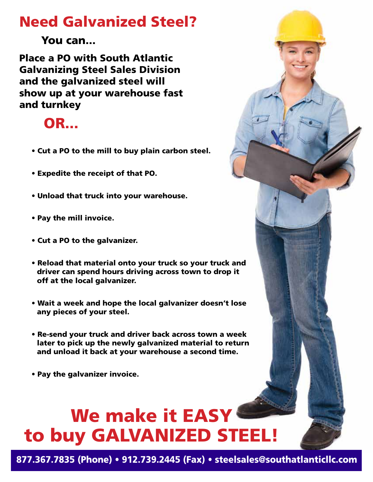#### Need Galvanized Steel?

You can...

Place a PO with South Atlantic Galvanizing Steel Sales Division and the galvanized steel will show up at your warehouse fast and turnkey

#### OR...

- Cut a PO to the mill to buy plain carbon steel.
- Expedite the receipt of that PO.
- Unload that truck into your warehouse.
- Pay the mill invoice.
- Cut a PO to the galvanizer.
- Reload that material onto your truck so your truck and driver can spend hours driving across town to drop it off at the local galvanizer.
- Wait a week and hope the local galvanizer doesn't lose any pieces of your steel.
- Re-send your truck and driver back across town a week later to pick up the newly galvanized material to return and unload it back at your warehouse a second time.
- Pay the galvanizer invoice.

# We make it EASY to buy GALVANIZED STEEL!

877.367.7835 (Phone) • 912.739.2445 (Fax) • steelsales@southatlanticllc.com